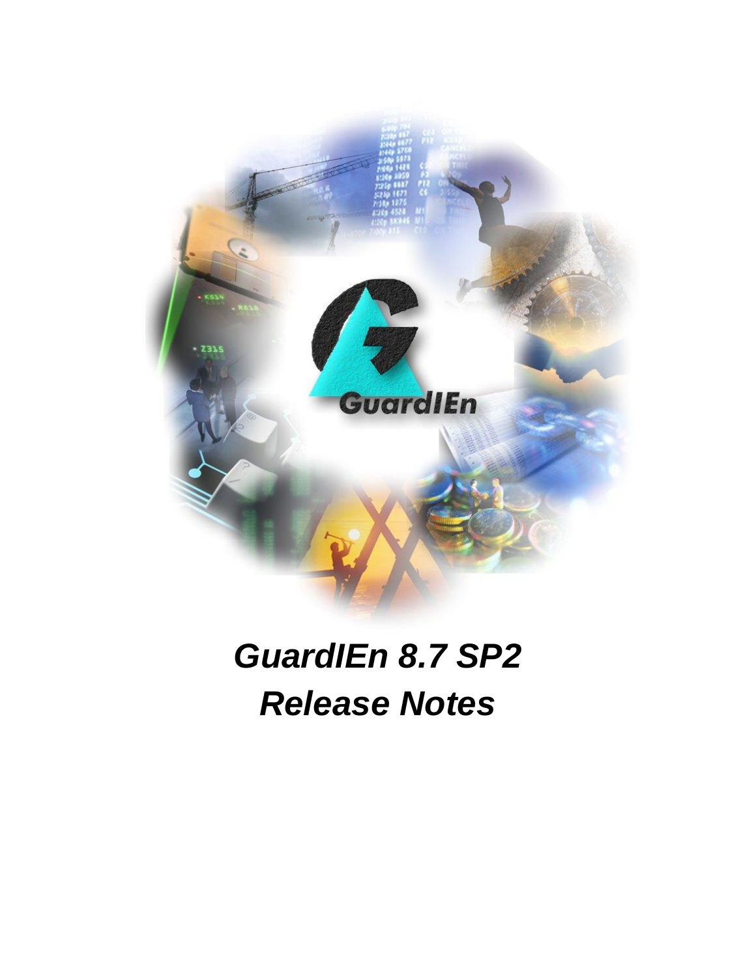

# *GuardIEn 8.7 SP2 Release Notes*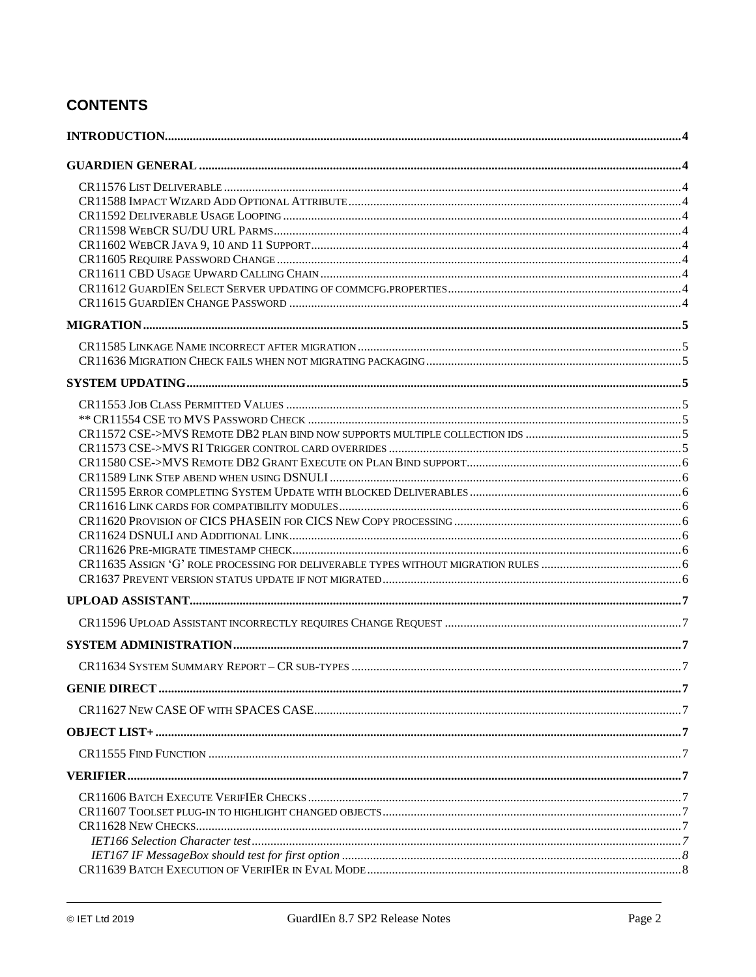# **CONTENTS**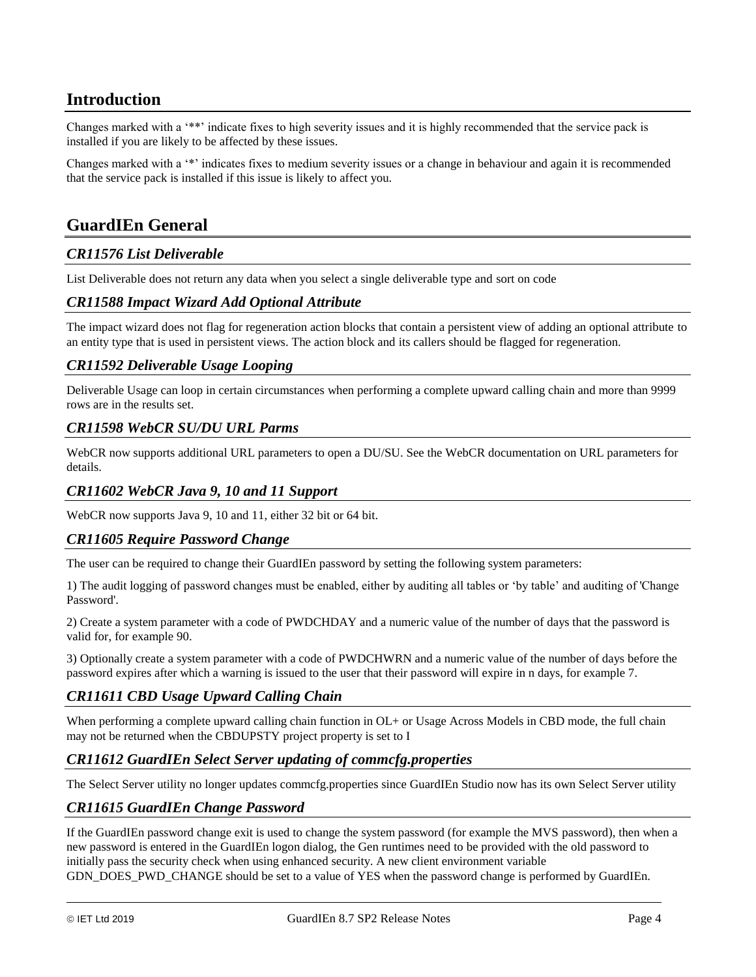# <span id="page-3-0"></span>**Introduction**

Changes marked with a '\*\*' indicate fixes to high severity issues and it is highly recommended that the service pack is installed if you are likely to be affected by these issues.

Changes marked with a '\*' indicates fixes to medium severity issues or a change in behaviour and again it is recommended that the service pack is installed if this issue is likely to affect you.

# <span id="page-3-1"></span>**GuardIEn General**

# <span id="page-3-2"></span>*CR11576 List Deliverable*

List Deliverable does not return any data when you select a single deliverable type and sort on code

#### <span id="page-3-3"></span>*CR11588 Impact Wizard Add Optional Attribute*

The impact wizard does not flag for regeneration action blocks that contain a persistent view of adding an optional attribute to an entity type that is used in persistent views. The action block and its callers should be flagged for regeneration.

#### <span id="page-3-4"></span>*CR11592 Deliverable Usage Looping*

Deliverable Usage can loop in certain circumstances when performing a complete upward calling chain and more than 9999 rows are in the results set.

#### <span id="page-3-5"></span>*CR11598 WebCR SU/DU URL Parms*

WebCR now supports additional URL parameters to open a DU/SU. See the WebCR documentation on URL parameters for details.

#### <span id="page-3-6"></span>*CR11602 WebCR Java 9, 10 and 11 Support*

WebCR now supports Java 9, 10 and 11, either 32 bit or 64 bit.

#### <span id="page-3-7"></span>*CR11605 Require Password Change*

The user can be required to change their GuardIEn password by setting the following system parameters:

1) The audit logging of password changes must be enabled, either by auditing all tables or 'by table' and auditing of 'Change Password'.

2) Create a system parameter with a code of PWDCHDAY and a numeric value of the number of days that the password is valid for, for example 90.

3) Optionally create a system parameter with a code of PWDCHWRN and a numeric value of the number of days before the password expires after which a warning is issued to the user that their password will expire in n days, for example 7.

#### <span id="page-3-8"></span>*CR11611 CBD Usage Upward Calling Chain*

When performing a complete upward calling chain function in OL+ or Usage Across Models in CBD mode, the full chain may not be returned when the CBDUPSTY project property is set to I

#### <span id="page-3-9"></span>*CR11612 GuardIEn Select Server updating of commcfg.properties*

The Select Server utility no longer updates commcfg.properties since GuardIEn Studio now has its own Select Server utility

## <span id="page-3-10"></span>*CR11615 GuardIEn Change Password*

If the GuardIEn password change exit is used to change the system password (for example the MVS password), then when a new password is entered in the GuardIEn logon dialog, the Gen runtimes need to be provided with the old password to initially pass the security check when using enhanced security. A new client environment variable

GDN\_DOES\_PWD\_CHANGE should be set to a value of YES when the password change is performed by GuardIEn.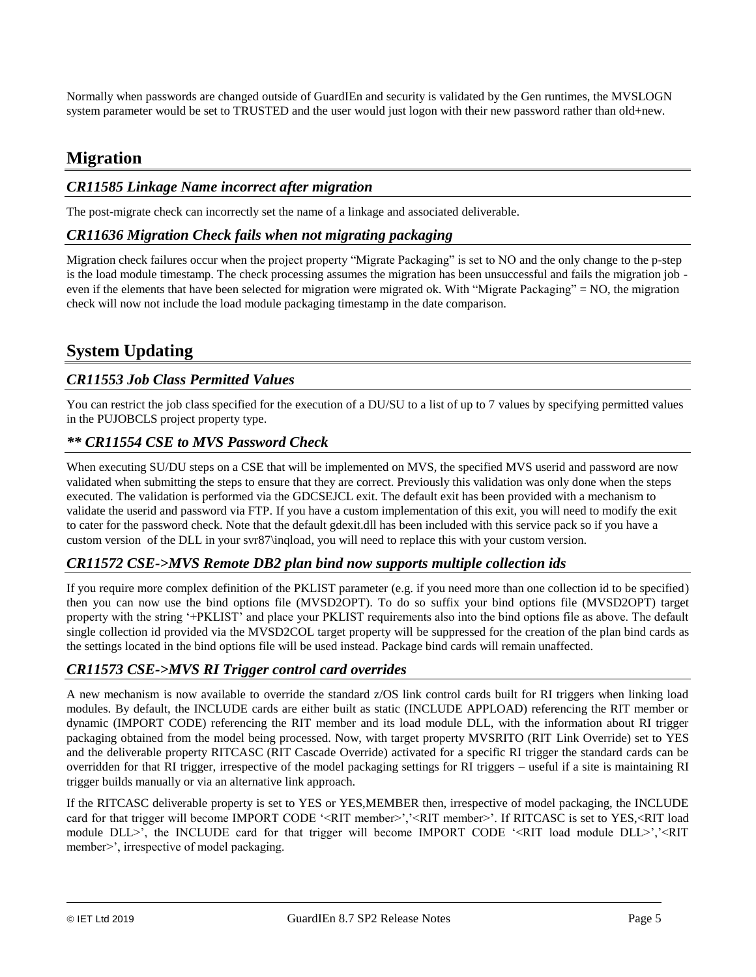Normally when passwords are changed outside of GuardIEn and security is validated by the Gen runtimes, the MVSLOGN system parameter would be set to TRUSTED and the user would just logon with their new password rather than old+new.

# <span id="page-4-0"></span>**Migration**

# <span id="page-4-1"></span>*CR11585 Linkage Name incorrect after migration*

The post-migrate check can incorrectly set the name of a linkage and associated deliverable.

#### <span id="page-4-2"></span>*CR11636 Migration Check fails when not migrating packaging*

Migration check failures occur when the project property "Migrate Packaging" is set to NO and the only change to the p-step is the load module timestamp. The check processing assumes the migration has been unsuccessful and fails the migration job even if the elements that have been selected for migration were migrated ok. With "Migrate Packaging" = NO, the migration check will now not include the load module packaging timestamp in the date comparison.

# <span id="page-4-3"></span>**System Updating**

# <span id="page-4-4"></span>*CR11553 Job Class Permitted Values*

You can restrict the job class specified for the execution of a DU/SU to a list of up to 7 values by specifying permitted values in the PUJOBCLS project property type.

#### <span id="page-4-5"></span>*\*\* CR11554 CSE to MVS Password Check*

When executing SU/DU steps on a CSE that will be implemented on MVS, the specified MVS userid and password are now validated when submitting the steps to ensure that they are correct. Previously this validation was only done when the steps executed. The validation is performed via the GDCSEJCL exit. The default exit has been provided with a mechanism to validate the userid and password via FTP. If you have a custom implementation of this exit, you will need to modify the exit to cater for the password check. Note that the default gdexit.dll has been included with this service pack so if you have a custom version of the DLL in your svr87\inqload, you will need to replace this with your custom version.

## <span id="page-4-6"></span>*CR11572 CSE->MVS Remote DB2 plan bind now supports multiple collection ids*

If you require more complex definition of the PKLIST parameter (e.g. if you need more than one collection id to be specified) then you can now use the bind options file (MVSD2OPT). To do so suffix your bind options file (MVSD2OPT) target property with the string '+PKLIST' and place your PKLIST requirements also into the bind options file as above. The default single collection id provided via the MVSD2COL target property will be suppressed for the creation of the plan bind cards as the settings located in the bind options file will be used instead. Package bind cards will remain unaffected.

## <span id="page-4-7"></span>*CR11573 CSE->MVS RI Trigger control card overrides*

A new mechanism is now available to override the standard z/OS link control cards built for RI triggers when linking load modules. By default, the INCLUDE cards are either built as static (INCLUDE APPLOAD) referencing the RIT member or dynamic (IMPORT CODE) referencing the RIT member and its load module DLL, with the information about RI trigger packaging obtained from the model being processed. Now, with target property MVSRITO (RIT Link Override) set to YES and the deliverable property RITCASC (RIT Cascade Override) activated for a specific RI trigger the standard cards can be overridden for that RI trigger, irrespective of the model packaging settings for RI triggers – useful if a site is maintaining RI trigger builds manually or via an alternative link approach.

If the RITCASC deliverable property is set to YES or YES,MEMBER then, irrespective of model packaging, the INCLUDE card for that trigger will become IMPORT CODE '<RIT member>','<RIT member>'. If RITCASC is set to YES,<RIT load module DLL>', the INCLUDE card for that trigger will become IMPORT CODE '<RIT load module DLL>','<RIT member>', irrespective of model packaging.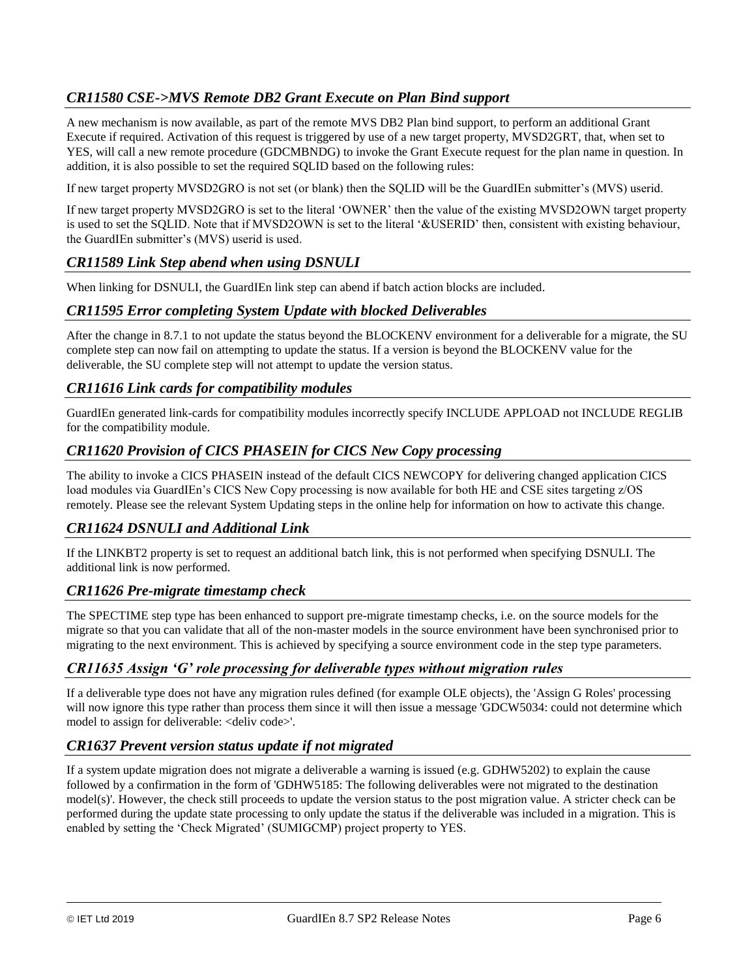# <span id="page-5-0"></span>*CR11580 CSE->MVS Remote DB2 Grant Execute on Plan Bind support*

A new mechanism is now available, as part of the remote MVS DB2 Plan bind support, to perform an additional Grant Execute if required. Activation of this request is triggered by use of a new target property, MVSD2GRT, that, when set to YES, will call a new remote procedure (GDCMBNDG) to invoke the Grant Execute request for the plan name in question. In addition, it is also possible to set the required SQLID based on the following rules:

If new target property MVSD2GRO is not set (or blank) then the SQLID will be the GuardIEn submitter's (MVS) userid.

If new target property MVSD2GRO is set to the literal 'OWNER' then the value of the existing MVSD2OWN target property is used to set the SQLID. Note that if MVSD2OWN is set to the literal '&USERID' then, consistent with existing behaviour, the GuardIEn submitter's (MVS) userid is used.

# <span id="page-5-1"></span>*CR11589 Link Step abend when using DSNULI*

When linking for DSNULI, the GuardIEn link step can abend if batch action blocks are included.

#### <span id="page-5-2"></span>*CR11595 Error completing System Update with blocked Deliverables*

After the change in 8.7.1 to not update the status beyond the BLOCKENV environment for a deliverable for a migrate, the SU complete step can now fail on attempting to update the status. If a version is beyond the BLOCKENV value for the deliverable, the SU complete step will not attempt to update the version status.

#### <span id="page-5-3"></span>*CR11616 Link cards for compatibility modules*

GuardIEn generated link-cards for compatibility modules incorrectly specify INCLUDE APPLOAD not INCLUDE REGLIB for the compatibility module.

# <span id="page-5-4"></span>*CR11620 Provision of CICS PHASEIN for CICS New Copy processing*

The ability to invoke a CICS PHASEIN instead of the default CICS NEWCOPY for delivering changed application CICS load modules via GuardIEn's CICS New Copy processing is now available for both HE and CSE sites targeting z/OS remotely. Please see the relevant System Updating steps in the online help for information on how to activate this change.

## <span id="page-5-5"></span>*CR11624 DSNULI and Additional Link*

If the LINKBT2 property is set to request an additional batch link, this is not performed when specifying DSNULI. The additional link is now performed.

## <span id="page-5-6"></span>*CR11626 Pre-migrate timestamp check*

The SPECTIME step type has been enhanced to support pre-migrate timestamp checks, i.e. on the source models for the migrate so that you can validate that all of the non-master models in the source environment have been synchronised prior to migrating to the next environment. This is achieved by specifying a source environment code in the step type parameters.

## <span id="page-5-7"></span>*CR11635 Assign 'G' role processing for deliverable types without migration rules*

If a deliverable type does not have any migration rules defined (for example OLE objects), the 'Assign G Roles' processing will now ignore this type rather than process them since it will then issue a message 'GDCW5034: could not determine which model to assign for deliverable: <deliv code>'.

## <span id="page-5-8"></span>*CR1637 Prevent version status update if not migrated*

If a system update migration does not migrate a deliverable a warning is issued (e.g. GDHW5202) to explain the cause followed by a confirmation in the form of 'GDHW5185: The following deliverables were not migrated to the destination model(s)'. However, the check still proceeds to update the version status to the post migration value. A stricter check can be performed during the update state processing to only update the status if the deliverable was included in a migration. This is enabled by setting the 'Check Migrated' (SUMIGCMP) project property to YES.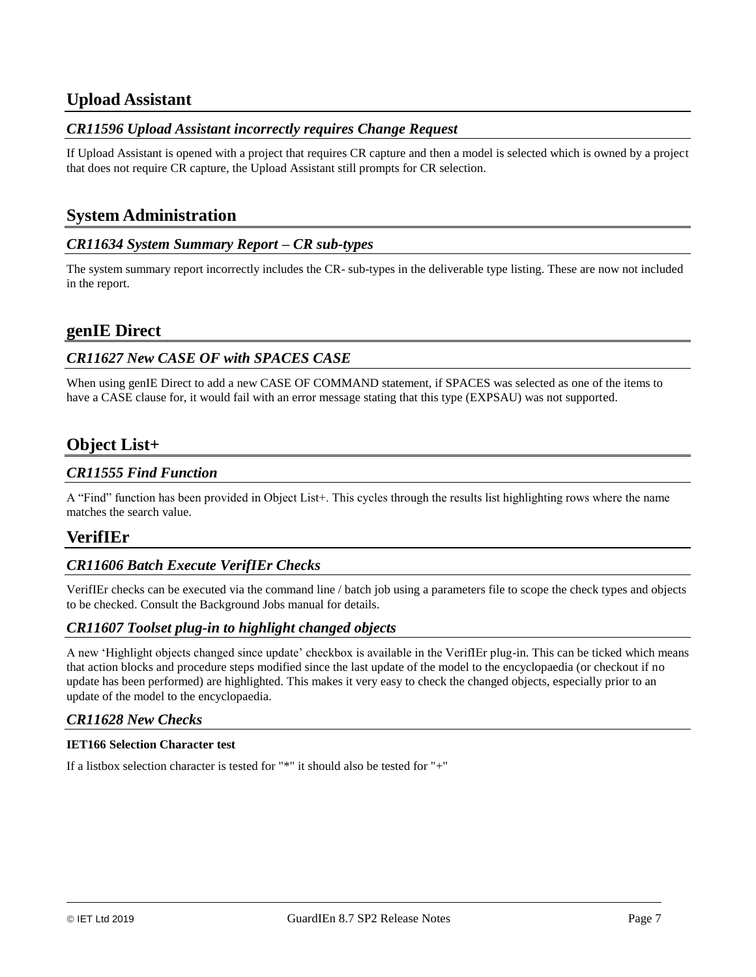# <span id="page-6-0"></span>**Upload Assistant**

# <span id="page-6-1"></span>*CR11596 Upload Assistant incorrectly requires Change Request*

If Upload Assistant is opened with a project that requires CR capture and then a model is selected which is owned by a project that does not require CR capture, the Upload Assistant still prompts for CR selection.

# <span id="page-6-2"></span>**System Administration**

#### <span id="page-6-3"></span>*CR11634 System Summary Report – CR sub-types*

The system summary report incorrectly includes the CR- sub-types in the deliverable type listing. These are now not included in the report.

# <span id="page-6-4"></span>**genIE Direct**

# <span id="page-6-5"></span>*CR11627 New CASE OF with SPACES CASE*

When using genIE Direct to add a new CASE OF COMMAND statement, if SPACES was selected as one of the items to have a CASE clause for, it would fail with an error message stating that this type (EXPSAU) was not supported.

# <span id="page-6-6"></span>**Object List+**

#### <span id="page-6-7"></span>*CR11555 Find Function*

A "Find" function has been provided in Object List+. This cycles through the results list highlighting rows where the name matches the search value.

# <span id="page-6-8"></span>**VerifIEr**

## <span id="page-6-9"></span>*CR11606 Batch Execute VerifIEr Checks*

VerifIEr checks can be executed via the command line / batch job using a parameters file to scope the check types and objects to be checked. Consult the Background Jobs manual for details.

#### <span id="page-6-10"></span>*CR11607 Toolset plug-in to highlight changed objects*

A new 'Highlight objects changed since update' checkbox is available in the VerifIEr plug-in. This can be ticked which means that action blocks and procedure steps modified since the last update of the model to the encyclopaedia (or checkout if no update has been performed) are highlighted. This makes it very easy to check the changed objects, especially prior to an update of the model to the encyclopaedia.

#### <span id="page-6-11"></span>*CR11628 New Checks*

#### <span id="page-6-12"></span>**IET166 Selection Character test**

If a listbox selection character is tested for "\*" it should also be tested for "+"